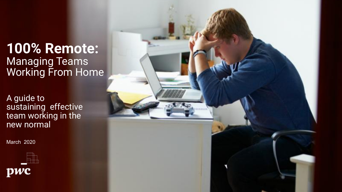# **100% Remote:**  Managing Teams Working From Home

A guide to sustaining effective team working in the new normal

March 2020



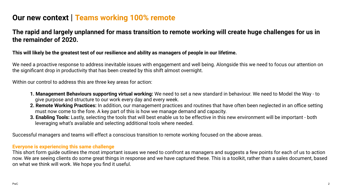### **Our new context** | **Teams working 100% remote**

### **The rapid and largely unplanned for mass transition to remote working will create huge challenges for us in the remainder of 2020.**

#### **This will likely be the greatest test of our resilience and ability as managers of people in our lifetime.**

We need a proactive response to address inevitable issues with engagement and well being. Alongside this we need to focus our attention on the significant drop in productivity that has been created by this shift almost overnight.

Within our control to address this are three key areas for action:

- **1. Management Behaviours supporting virtual working:** We need to set a new standard in behaviour. We need to Model the Way to give purpose and structure to our work every day and every week.
- **2. Remote Working Practices:** In addition, our management practices and routines that have often been neglected in an office setting must now come to the fore. A key part of this is how we manage demand and capacity.
- **3. Enabling Tools:** Lastly, selecting the tools that will best enable us to be effective in this new environment will be important both leveraging what's available and selecting additional tools where needed.

Successful managers and teams will effect a conscious transition to remote working focused on the above areas.

#### **Everyone is experiencing this same challenge**

This short form guide outlines the most important issues we need to confront as managers and suggests a few points for each of us to action now. We are seeing clients do some great things in response and we have captured these. This is a toolkit, rather than a sales document, based on what we think will work. We hope you find it useful.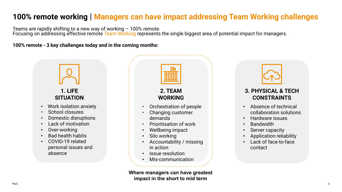### **100% remote working** | **Managers can have impact addressing Team Working challenges**

Teams are rapidly shifting to a new way of working – 100% remote. Focusing on addressing effective remote Team Working represents the single biggest area of potential impact for managers.

**100% remote - 3 key challenges today and in the coming months:**



**Where managers can have greatest impact in the short to mid term**



### **3. PHYSICAL & TECH CONSTRAINTS**

- Absence of technical collaboration solutions
- Hardware issues
- Bandwidth
- Server capacity
- Application reliability
- Lack of face-to-face contact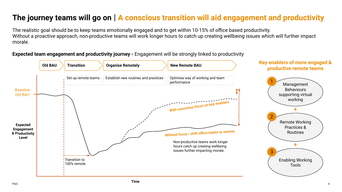## **The journey teams will go on** | **A conscious transition will aid engagement and productivity**

The realistic goal should be to keep teams emotionally engaged and to get within 10-15% of office based productivity. Without a proactive approach, non-productive teams will work longer hours to catch up creating wellbeing issues which will further impact morale.

**Expected team engagement and productivity journey -** Engagement will be strongly linked to productivity

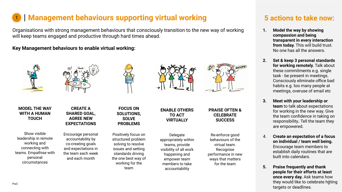#### | **Management behaviours supporting virtual working** 1

Organisations with strong management behaviours that consciously transition to the new way of working will keep teams engaged and productive through hard times ahead.

> **FOCUS ON SOLUTIONS, SOLVE PROBLEMS**

Positively focus on structured problem solving to resolve issues and setting standards driving the one best way of working for the team

**Key Management behaviours to enable virtual working:**





**MODEL THE WAY WITH A HUMAN TOUCH**

Show visible leadership in remote working and connecting with teams. Empathise with personal circumstances

#### **CREATE A SHARED GOAL, AGREE NEW EXPECTATIONS**

Encourage personal accountability by co-creating goals and expectations in the team each week and each month





**ENABLE OTHERS TO ACT VIRTUALLY**

Delegate appropriately within teams, provide visibility of all work happening and empower team members to take accountability

**PRAISE OFTEN & CELEBRATE SUCCESS**

Re-enforce good behaviours of the virtual team. Recognise performance in new ways that matters for the team

### **5 actions to take now:**

- **1. Model the way by showing compassion and being transparent in every interaction from today.** This will build trust. No one has all the answers.
- **2. Set & keep 3 personal standards for working remotely.** Talk about these commitments e.g. single task - be present in meetings. Consciously eliminate office bad habits e.g. too many people at meetings, overuse of email etc
- **3. Meet with your leadership or team** to talk about expectations for working in the new way. Give the team confidence in taking on responsibility**.** Tell the team they are empowered.
- 4. **Create an expectation of a focus on individual / team well being.**  Encourage team members to establish daily routines that are built into calendars.
- PwC Second The Concentrate Tight Concentrate Tight Concentrate Tight Concentrate Tight Concentrate Tight Concentrate Tight **5. Praise frequently and thank people for their efforts at least once every day.** Ask teams how they would like to celebrate hitting targets or deadlines.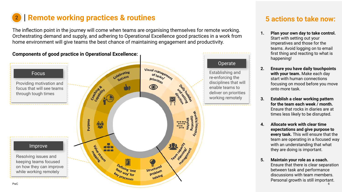# **2 Remote working practices & routines** 5 actions to take now:

The inflection point in the journey will come when teams are organising themselves for remote working. Orchestrating demand and supply, and adhering to Operational Excellence good practices in a work from home environment will give teams the best chance of maintaining engagement and productivity.



- **1. Plan your own day to take control.**  Start with setting out your imperatives and those for the teams. Avoid logging on to email first thing and reacting to what is happening!
- **2. Ensure you have daily touchpoints with your team.** Make each day start with human connections focusing on mood before you move onto more task.
- **3. Establish a clear working pattern for the team each week / month.**  Ensure that rocks in diaries are at times less likely to be disrupted.
- **4. Allocate work with clear time expectations and give purpose to every task.** This will ensure that the team are operating in a focused way with an understanding that what they are doing is important.
- **5. Maintain your role as a coach.**  Ensure that there is clear separation between task and performance discussions with team members. Personal growth is still important.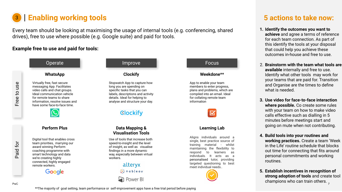# **8 | Enabling working tools**

Every team should be looking at maximising the usage of internal tools (e.g. conferencing, shared drives), free to use where possible (e.g. Google suite) and paid for tools.

#### **Example free to use and paid for tools:**





**Perform Plus**

Digital tool that enables cross team priorities, marrying our award winning Perform coaching programme with smart technology and data we're creating highly connected, highly engaged remote workers.

Google

#### **Clockify**

Stopwatch App to capture how long you are spending on specific tasks that you can labels, descriptions and activity details. Ideal for helping to analyse and structure your day.

### **Clockify**

#### **Data Mapping & Visualisation Tools**

Use of tools that increase both speed-to-insight and the level of insight, as well as visualise findings in a more dynamic way, especially between virtual workers.

> alteryx  $\frac{1}{4+4}$  + a b | e a u<sup>-</sup> an Power BI

#### **Weekdone\*\***

App to enable your team members to enter progress, plans and problems, which are compiled into an email. Ideal for collating remote team information



#### **Learning Lab**

Aligns individuals around a single, best practice source of training material - whilst maintaining the flexibility to respond to learners as individuals. It acts as a personalised tutor, providing targeted questioning to best meet individual needs..



### **5 actions to take now:**

- **1. Identify the outcomes you want to achieve** and agree a terms of reference for each team connection. As part of this identify the tools at your disposal that could help you achieve these outcomes in-house and free to use.
- 2. **Brainstorm with the team what tools are available** internally and free to use. Identify what other tools may work for your teams that are paid for. Transition and Organise are the times to define what is needed.
- **3. Use video for face-to-face interaction where possible.** Co create some rules with your team on how to make video calls effective such as dialling in 5 minutes before meetings start and going on mute when not contributing.
- **4. Build tools into your routines and working practices.** Create a team 'Week in the Life' routine schedule that blocks out time for connecting that fits around personal commitments and working routines.
- 7 **5. Establish incentives in recognition of strong adoption of tools** and create tool champions who can train others.

\*\*The majority of goal setting, team performance or self-improvement apps have a free trial period before paying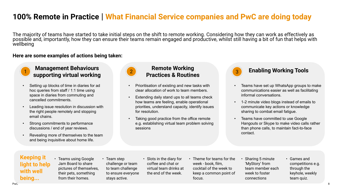### **100% Remote in Practice** | **What Financial Service companies and PwC are doing today**

The majority of teams have started to take initial steps on the shift to remote working. Considering how they can work as effectively as possible and, importantly, how they can ensure their teams remain engaged and productive, whilst still having a bit of fun that helps with wellbeing

#### **Here are some examples of actions being taken:**



#### **Management Behaviours supporting virtual working**

- Setting up blocks of time in diaries for ad hoc queries from staff / 1:1 time using space in diaries from commuting and cancelled commitments.
- Leading issue resolution in discussion with the right people remotely and stopping email chains.
- Strong commitments to performance discussions / end of year reviews.
- Revealing more of themselves to the team and being inquisitive about home life.



### **Remote Working Practices & Routines**

- Prioritisation of existing and new tasks with clear allocation of work to team members.
- Extending daily stand ups to all teams check how teams are feeling, enable operational priorities, understand capacity, identify issues for resolution.
- Taking good practice from the office remote e.g. establishing virtual team problem solving sessions



#### 2 **Enabling Working Tools**

- Teams have set up WhatsApp groups to make communications easier as well as facilitating informal conversations.
- 1-2 minute video blogs instead of emails to communicate key actions or knowledge sharing to combat email fatigue.
- Teams have committed to use Google Hangouts or Skype to make video calls rather than phone calls, to maintain fact-to-face contact.

#### **Keeping it light to help with well being...**

- Teams using Google Jam Board to share pictures of themselves, their pets, something from their homes.
- Team step challenge or team to team challenge to ensure everyone stays active.
- Slots in the diary for coffee and chat or virtual team drinks at the end of the week.
- Theme for teams for the week - book, film, cocktail of the week to keep a common point of focus.
- Sharing 5 minute 'MyStory' from team member each week to foster connections
- Games and competitions e.g. through the keyhole, weekly team quiz.